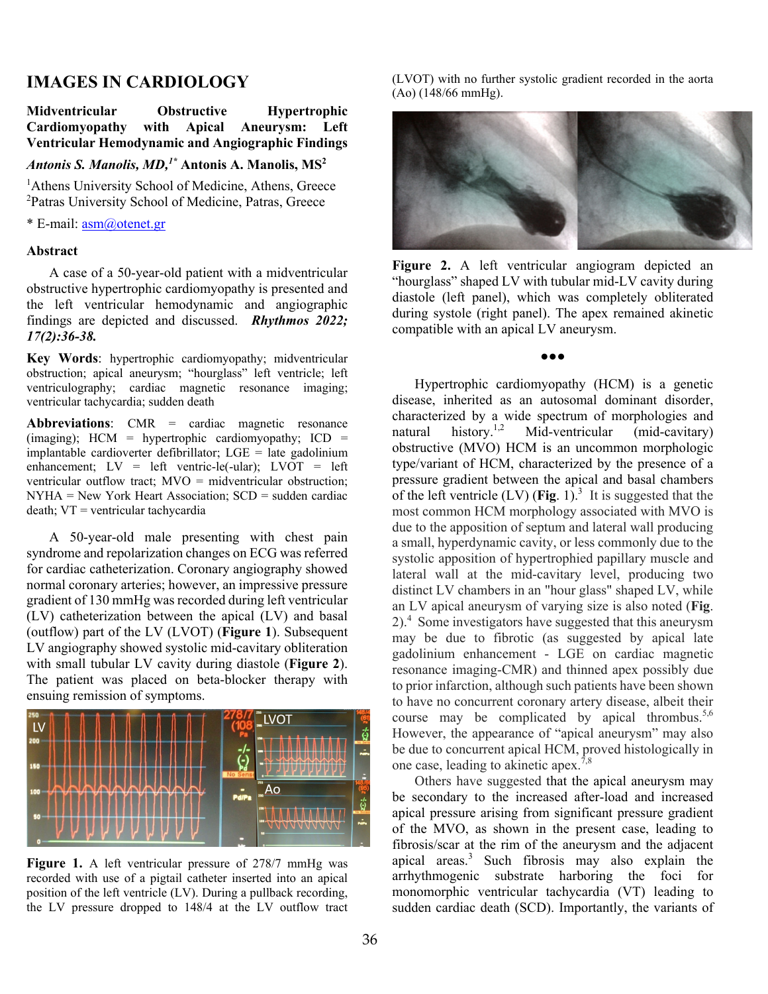# **IMAGES IN CARDIOLOGY**

## **Midventricular Obstructive Hypertrophic Cardiomyopathy with Apical Aneurysm: Left Ventricular Hemodynamic and Angiographic Findings**

### Antonis S. Manolis, MD,<sup>1\*</sup> Antonis A. Manolis, MS<sup>2</sup>

<sup>1</sup>Athens University School of Medicine, Athens, Greece <sup>2</sup>Patras University School of Medicine, Patras, Greece

\* E-mail: asm@otenet.gr

#### **Abstract**

A case of a 50-year-old patient with a midventricular obstructive hypertrophic cardiomyopathy is presented and the left ventricular hemodynamic and angiographic findings are depicted and discussed. *Rhythmos 2022; 17(2):36-38.*

**Key Words**: hypertrophic cardiomyopathy; midventricular obstruction; apical aneurysm; "hourglass" left ventricle; left ventriculography; cardiac magnetic resonance imaging; ventricular tachycardia; sudden death

**Abbreviations**: CMR = cardiac magnetic resonance (imaging); HCM = hypertrophic cardiomyopathy; ICD = implantable cardioverter defibrillator;  $LGE =$  late gadolinium enhancement;  $LV = left$  ventric-le(-ular);  $LVOT = left$ ventricular outflow tract; MVO = midventricular obstruction;  $NYHA = New York Heart Association; SCD = sudden cardiac$ death; VT = ventricular tachycardia

A 50-year-old male presenting with chest pain syndrome and repolarization changes on ECG was referred for cardiac catheterization. Coronary angiography showed normal coronary arteries; however, an impressive pressure gradient of 130 mmHg was recorded during left ventricular (LV) catheterization between the apical (LV) and basal (outflow) part of the LV (LVOT) (**Figure 1**). Subsequent LV angiography showed systolic mid-cavitary obliteration with small tubular LV cavity during diastole (**Figure 2**). The patient was placed on beta-blocker therapy with ensuing remission of symptoms.



**Figure 1.** A left ventricular pressure of 278/7 mmHg was recorded with use of a pigtail catheter inserted into an apical position of the left ventricle (LV). During a pullback recording, the LV pressure dropped to 148/4 at the LV outflow tract

(LVOT) with no further systolic gradient recorded in the aorta (Ao) (148/66 mmHg).



**Figure 2.** A left ventricular angiogram depicted an "hourglass" shaped LV with tubular mid-LV cavity during diastole (left panel), which was completely obliterated during systole (right panel). The apex remained akinetic compatible with an apical LV aneurysm.

●●●

Hypertrophic cardiomyopathy (HCM) is a genetic disease, inherited as an autosomal dominant disorder, characterized by a wide spectrum of morphologies and natural history.<sup>1,2</sup> Mid-ventricular (mid-cavitary) natural history.<sup>1,2</sup> Mid-ventricular (mid-cavitary) obstructive (MVO) HCM is an uncommon morphologic type/variant of HCM, characterized by the presence of a pressure gradient between the apical and basal chambers of the left ventricle  $(LV)$  (Fig. 1).<sup>3</sup> It is suggested that the most common HCM morphology associated with MVO is due to the apposition of septum and lateral wall producing a small, hyperdynamic cavity, or less commonly due to the systolic apposition of hypertrophied papillary muscle and lateral wall at the mid-cavitary level, producing two distinct LV chambers in an "hour glass" shaped LV, while an LV apical aneurysm of varying size is also noted (**Fig**. 2).<sup>4</sup> Some investigators have suggested that this aneurysm may be due to fibrotic (as suggested by apical late gadolinium enhancement - LGE on cardiac magnetic resonance imaging-CMR) and thinned apex possibly due to prior infarction, although such patients have been shown to have no concurrent coronary artery disease, albeit their course may be complicated by apical thrombus.<sup>5,6</sup> However, the appearance of "apical aneurysm" may also be due to concurrent apical HCM, proved histologically in one case, leading to akinetic apex.<sup>7,8</sup>

Others have suggested that the apical aneurysm may be secondary to the increased after-load and increased apical pressure arising from significant pressure gradient of the MVO, as shown in the present case, leading to fibrosis/scar at the rim of the aneurysm and the adjacent apical areas.<sup>3</sup> Such fibrosis may also explain the arrhythmogenic substrate harboring the foci for monomorphic ventricular tachycardia (VT) leading to sudden cardiac death (SCD). Importantly, the variants of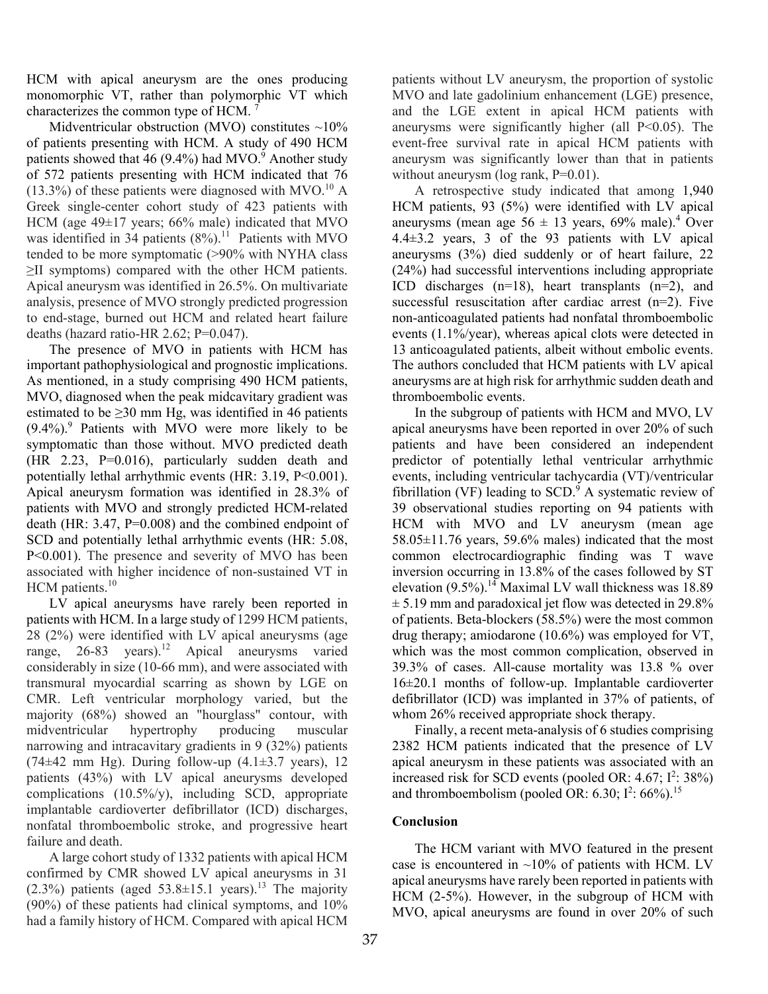HCM with apical aneurysm are the ones producing monomorphic VT, rather than polymorphic VT which characterizes the common type of HCM.

Midventricular obstruction (MVO) constitutes  $\sim$ 10% of patients presenting with HCM. A study of 490 HCM patients showed that  $46$  (9.4%) had MVO. $^9$  Another study of 572 patients presenting with HCM indicated that 76  $(13.3\%)$  of these patients were diagnosed with MVO.<sup>10</sup> A Greek single-center cohort study of 423 patients with HCM (age 49±17 years; 66% male) indicated that MVO was identified in 34 patients  $(8\%)$ .<sup>11</sup> Patients with MVO tended to be more symptomatic (>90% with NYHA class ≥II symptoms) compared with the other HCM patients. Apical aneurysm was identified in 26.5%. On multivariate analysis, presence of MVO strongly predicted progression to end-stage, burned out HCM and related heart failure deaths (hazard ratio-HR 2.62; P=0.047).

The presence of MVO in patients with HCM has important pathophysiological and prognostic implications. As mentioned, in a study comprising 490 HCM patients, MVO, diagnosed when the peak midcavitary gradient was estimated to be  $\geq$ 30 mm Hg, was identified in 46 patients  $(9.4\%)$ <sup>9</sup> Patients with MVO were more likely to be symptomatic than those without. MVO predicted death (HR 2.23, P=0.016), particularly sudden death and potentially lethal arrhythmic events (HR: 3.19, P<0.001). Apical aneurysm formation was identified in 28.3% of patients with MVO and strongly predicted HCM-related death (HR: 3.47, P=0.008) and the combined endpoint of SCD and potentially lethal arrhythmic events (HR: 5.08, P<0.001). The presence and severity of MVO has been associated with higher incidence of non-sustained VT in  $HCM$  patients.<sup>10</sup>

LV apical aneurysms have rarely been reported in patients with HCM. In a large study of 1299 HCM patients, 28 (2%) were identified with LV apical aneurysms (age range, 26-83 years).<sup>12</sup> Apical aneurysms varied considerably in size (10-66 mm), and were associated with transmural myocardial scarring as shown by LGE on CMR. Left ventricular morphology varied, but the majority (68%) showed an "hourglass" contour, with midventricular hypertrophy producing muscular narrowing and intracavitary gradients in 9 (32%) patients (74 $\pm$ 42 mm Hg). During follow-up (4.1 $\pm$ 3.7 years), 12 patients (43%) with LV apical aneurysms developed complications (10.5%/y), including SCD, appropriate implantable cardioverter defibrillator (ICD) discharges, nonfatal thromboembolic stroke, and progressive heart failure and death.

A large cohort study of 1332 patients with apical HCM confirmed by CMR showed LV apical aneurysms in 31  $(2.3\%)$  patients (aged  $53.8\pm15.1$  years).<sup>13</sup> The majority (90%) of these patients had clinical symptoms, and 10% had a family history of HCM. Compared with apical HCM

patients without LV aneurysm, the proportion of systolic MVO and late gadolinium enhancement (LGE) presence, and the LGE extent in apical HCM patients with aneurysms were significantly higher (all  $P<0.05$ ). The event-free survival rate in apical HCM patients with aneurysm was significantly lower than that in patients without aneurysm ( $log$  rank,  $P=0.01$ ).

A retrospective study indicated that among 1,940 HCM patients, 93 (5%) were identified with LV apical aneurysms (mean age  $56 \pm 13$  years, 69% male).<sup>4</sup> Over 4.4±3.2 years, 3 of the 93 patients with LV apical aneurysms (3%) died suddenly or of heart failure, 22 (24%) had successful interventions including appropriate ICD discharges (n=18), heart transplants (n=2), and successful resuscitation after cardiac arrest (n=2). Five non-anticoagulated patients had nonfatal thromboembolic events (1.1%/year), whereas apical clots were detected in 13 anticoagulated patients, albeit without embolic events. The authors concluded that HCM patients with LV apical aneurysms are at high risk for arrhythmic sudden death and thromboembolic events.

In the subgroup of patients with HCM and MVO, LV apical aneurysms have been reported in over 20% of such patients and have been considered an independent predictor of potentially lethal ventricular arrhythmic events, including ventricular tachycardia (VT)/ventricular fibrillation (VF) leading to  $SCD<sup>9</sup>$  A systematic review of 39 observational studies reporting on 94 patients with HCM with MVO and LV aneurysm (mean age  $58.05\pm11.76$  years,  $59.6\%$  males) indicated that the most common electrocardiographic finding was T wave inversion occurring in 13.8% of the cases followed by ST elevation  $(9.5\%)$ .<sup>14</sup> Maximal LV wall thickness was 18.89  $\pm$  5.19 mm and paradoxical jet flow was detected in 29.8% of patients. Beta-blockers (58.5%) were the most common drug therapy; amiodarone (10.6%) was employed for VT, which was the most common complication, observed in 39.3% of cases. All-cause mortality was 13.8 % over 16±20.1 months of follow-up. Implantable cardioverter defibrillator (ICD) was implanted in 37% of patients, of whom 26% received appropriate shock therapy.

Finally, a recent meta-analysis of 6 studies comprising 2382 HCM patients indicated that the presence of LV apical aneurysm in these patients was associated with an increased risk for SCD events (pooled OR:  $4.67$ ;  $I^2$ :  $38\%$ ) and thromboembolism (pooled OR: 6.30;  $I^2$ : 66%).<sup>15</sup>

## **Conclusion**

 The HCM variant with MVO featured in the present case is encountered in  $\sim$ 10% of patients with HCM. LV apical aneurysms have rarely been reported in patients with HCM (2-5%). However, in the subgroup of HCM with MVO, apical aneurysms are found in over 20% of such